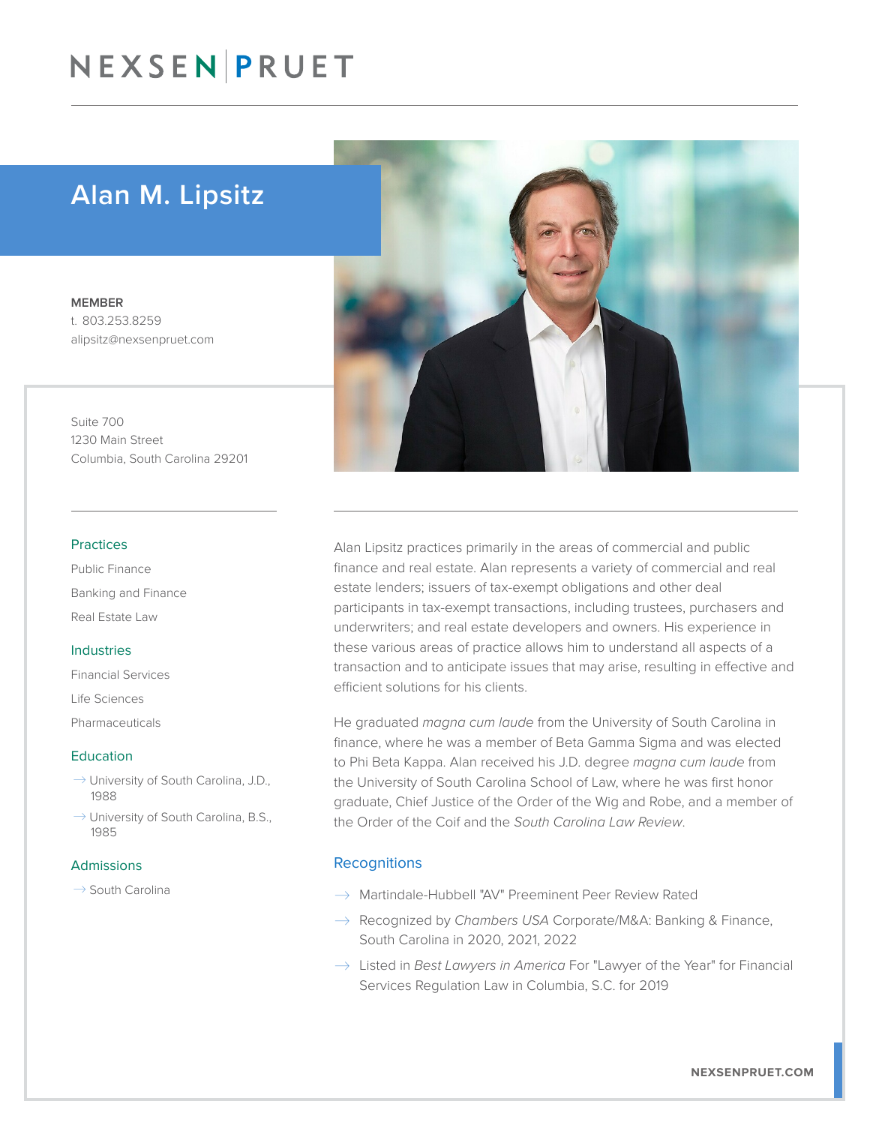## NEXSEN PRUET

### Alan M. Lipsitz

MEMBER t. 803.253.8259 alipsitz@nexsenpruet.com

Suite 700 1230 Main Street Columbia, South Carolina 29201

#### Practices

Public Finance Banking and Finance Real Estate Law

#### Industries

Financial Services Life Sciences Pharmaceuticals

#### Education

- $\rightarrow$  University of South Carolina, J.D., 1988
- $\rightarrow$  University of South Carolina, B.S., 1985

#### Admissions

 $\rightarrow$  South Carolina



Alan Lipsitz practices primarily in the areas of commercial and public finance and real estate. Alan represents a variety of commercial and real estate lenders; issuers of tax-exempt obligations and other deal participants in tax-exempt transactions, including trustees, purchasers and underwriters; and real estate developers and owners. His experience in these various areas of practice allows him to understand all aspects of a transaction and to anticipate issues that may arise, resulting in effective and efficient solutions for his clients.

He graduated *magna cum laude* from the University of South Carolina in finance, where he was a member of Beta Gamma Sigma and was elected to Phi Beta Kappa. Alan received his J.D. degree *magna cum laude* from the University of South Carolina School of Law, where he was first honor graduate, Chief Justice of the Order of the Wig and Robe, and a member of the Order of the Coif and the *South Carolina Law Review*.

#### **Recognitions**

- $\rightarrow$  Martindale-Hubbell "AV" Preeminent Peer Review Rated
- � Recognized by *Chambers USA* Corporate/M&A: Banking & Finance, South Carolina in 2020, 2021, 2022
- $\rightarrow$  Listed in *Best Lawyers in America* For "Lawyer of the Year" for Financial Services Regulation Law in Columbia, S.C. for 2019